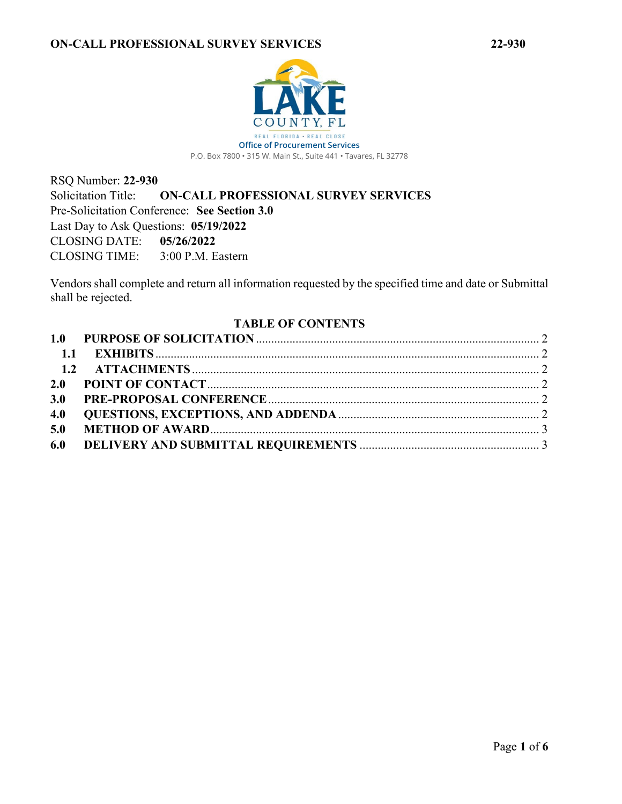RSQ Number: **22-930** Solicitation Title: **ON-CALL PROFESSIONAL SURVEY SERVICES** Pre-Solicitation Conference: **See Section 3.0** Last Day to Ask Questions: **05/19/2022** CLOSING DATE: **05/26/2022** CLOSING TIME: 3:00 P.M. Eastern

Vendors shall complete and return all information requested by the specified time and date or Submittal shall be rejected.

### <span id="page-0-0"></span>**TABLE OF CONTENTS**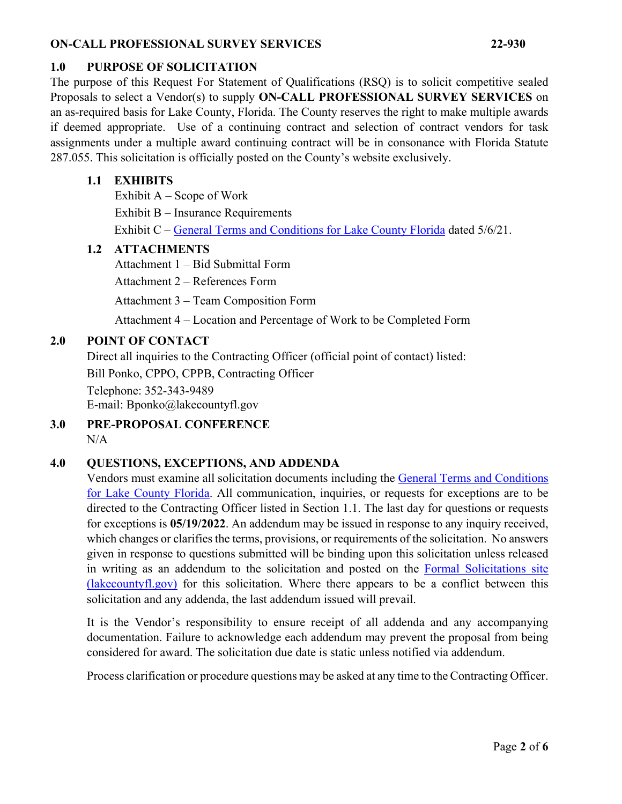### <span id="page-1-0"></span>**1.0 PURPOSE OF SOLICITATION**

The purpose of this Request For Statement of Qualifications (RSQ) is to solicit competitive sealed Proposals to select a Vendor(s) to supply **ON-CALL PROFESSIONAL SURVEY SERVICES** on an as-required basis for Lake County, Florida. The County reserves the right to make multiple awards if deemed appropriate. Use of a continuing contract and selection of contract vendors for task assignments under a multiple award continuing contract will be in consonance with Florida Statute 287.055. This solicitation is officially posted on the County's website exclusively.

#### <span id="page-1-1"></span>**1.1 EXHIBITS**

Exhibit A – Scope of Work

Exhibit B – Insurance Requirements

Exhibit C – [General Terms and Conditions for Lake County Florida](https://lakeumbraco.azurewebsites.net/media/krwgfnt0/general-terms-and-conditions-v-5-6-21-ada.pdf) dated 5/6/21.

### <span id="page-1-2"></span>**1.2 ATTACHMENTS**

Attachment 1 – Bid Submittal Form

Attachment 2 – References Form

Attachment 3 – Team Composition Form

Attachment 4 – Location and Percentage of Work to be Completed Form

# <span id="page-1-3"></span>**2.0 POINT OF CONTACT**

Direct all inquiries to the Contracting Officer (official point of contact) listed: Bill Ponko, CPPO, CPPB, Contracting Officer Telephone: 352-343-9489 E-mail: Bponko@lakecountyfl.gov

<span id="page-1-4"></span>**3.0 PRE-PROPOSAL CONFERENCE**  $N/A$ 

# <span id="page-1-5"></span>**4.0 QUESTIONS, EXCEPTIONS, AND ADDENDA**

Vendors must examine all solicitation documents including the [General Terms and Conditions](https://lakeumbraco.azurewebsites.net/media/krwgfnt0/general-terms-and-conditions-v-5-6-21-ada.pdf)  [for Lake County Florida.](https://lakeumbraco.azurewebsites.net/media/krwgfnt0/general-terms-and-conditions-v-5-6-21-ada.pdf) All communication, inquiries, or requests for exceptions are to be directed to the Contracting Officer listed in Section [1.1.](#page-1-1) The last day for questions or requests for exceptions is **[05/19/2022](#page-0-0)**. An addendum may be issued in response to any inquiry received, which changes or clarifies the terms, provisions, or requirements of the solicitation. No answers given in response to questions submitted will be binding upon this solicitation unless released in writing as an addendum to the solicitation and posted on the [Formal Solicitations site](https://c.lakecountyfl.gov/offices/procurement_services/view_all_bids.aspx?mylakefl=True)  [\(lakecountyfl.gov\)](https://c.lakecountyfl.gov/offices/procurement_services/view_all_bids.aspx?mylakefl=True) for this solicitation. Where there appears to be a conflict between this solicitation and any addenda, the last addendum issued will prevail.

It is the Vendor's responsibility to ensure receipt of all addenda and any accompanying documentation. Failure to acknowledge each addendum may prevent the proposal from being considered for award. The solicitation due date is static unless notified via addendum.

Process clarification or procedure questions may be asked at any time to the Contracting Officer.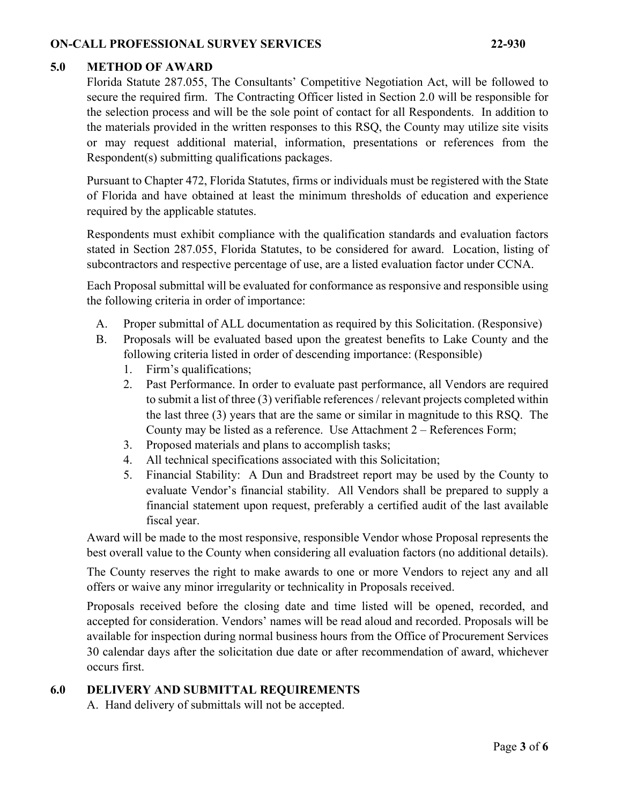#### <span id="page-2-0"></span>**5.0 METHOD OF AWARD**

Florida Statute 287.055, The Consultants' Competitive Negotiation Act, will be followed to secure the required firm. The Contracting Officer listed in Section 2.0 will be responsible for the selection process and will be the sole point of contact for all Respondents. In addition to the materials provided in the written responses to this RSQ, the County may utilize site visits or may request additional material, information, presentations or references from the Respondent(s) submitting qualifications packages.

Pursuant to Chapter 472, Florida Statutes, firms or individuals must be registered with the State of Florida and have obtained at least the minimum thresholds of education and experience required by the applicable statutes.

Respondents must exhibit compliance with the qualification standards and evaluation factors stated in Section 287.055, Florida Statutes, to be considered for award. Location, listing of subcontractors and respective percentage of use, are a listed evaluation factor under CCNA.

Each Proposal submittal will be evaluated for conformance as responsive and responsible using the following criteria in order of importance:

- A. Proper submittal of ALL documentation as required by this Solicitation. (Responsive)
- B. Proposals will be evaluated based upon the greatest benefits to Lake County and the following criteria listed in order of descending importance: (Responsible)
	- 1. Firm's qualifications;
	- 2. Past Performance. In order to evaluate past performance, all Vendors are required to submit a list of three (3) verifiable references / relevant projects completed within the last three (3) years that are the same or similar in magnitude to this RSQ. The County may be listed as a reference. Use Attachment 2 – References Form;
	- 3. Proposed materials and plans to accomplish tasks;
	- 4. All technical specifications associated with this Solicitation;
	- 5. Financial Stability: A Dun and Bradstreet report may be used by the County to evaluate Vendor's financial stability. All Vendors shall be prepared to supply a financial statement upon request, preferably a certified audit of the last available fiscal year.

Award will be made to the most responsive, responsible Vendor whose Proposal represents the best overall value to the County when considering all evaluation factors (no additional details).

The County reserves the right to make awards to one or more Vendors to reject any and all offers or waive any minor irregularity or technicality in Proposals received.

Proposals received before the closing date and time listed will be opened, recorded, and accepted for consideration. Vendors' names will be read aloud and recorded. Proposals will be available for inspection during normal business hours from the Office of Procurement Services 30 calendar days after the solicitation due date or after recommendation of award, whichever occurs first.

#### <span id="page-2-1"></span>**6.0 DELIVERY AND SUBMITTAL REQUIREMENTS**

A. Hand delivery of submittals will not be accepted.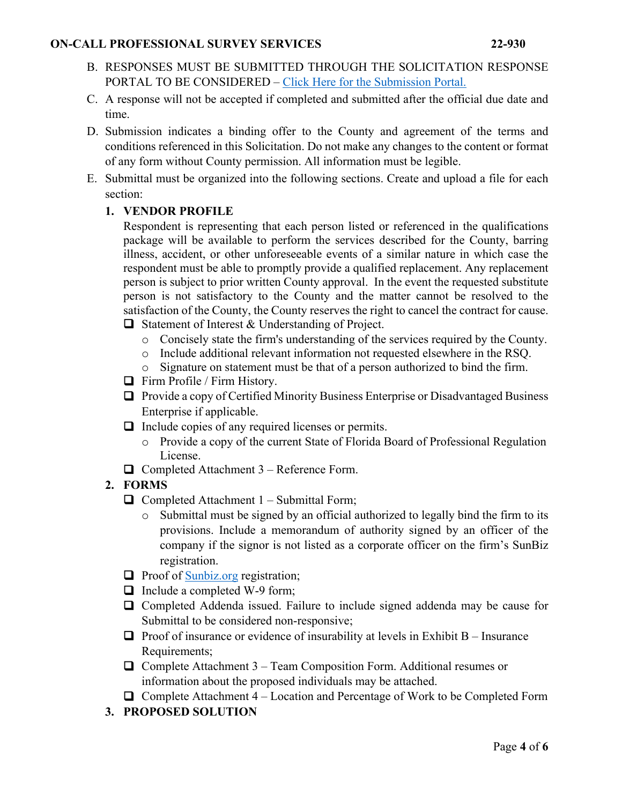- B. RESPONSES MUST BE SUBMITTED THROUGH THE SOLICITATION RESPONSE PORTAL TO BE CONSIDERED – [Click Here for the Submission Portal.](https://procurement.lakecountyfl.gov/login)
- C. A response will not be accepted if completed and submitted after the official due date and time.
- D. Submission indicates a binding offer to the County and agreement of the terms and conditions referenced in this Solicitation. Do not make any changes to the content or format of any form without County permission. All information must be legible.
- E. Submittal must be organized into the following sections. Create and upload a file for each section:

### **1. VENDOR PROFILE**

Respondent is representing that each person listed or referenced in the qualifications package will be available to perform the services described for the County, barring illness, accident, or other unforeseeable events of a similar nature in which case the respondent must be able to promptly provide a qualified replacement. Any replacement person is subject to prior written County approval. In the event the requested substitute person is not satisfactory to the County and the matter cannot be resolved to the satisfaction of the County, the County reserves the right to cancel the contract for cause.  $\Box$  Statement of Interest & Understanding of Project.

- o Concisely state the firm's understanding of the services required by the County.
- o Include additional relevant information not requested elsewhere in the RSQ.
- o Signature on statement must be that of a person authorized to bind the firm.
- $\Box$  Firm Profile / Firm History.
- $\Box$  Provide a copy of Certified Minority Business Enterprise or Disadvantaged Business Enterprise if applicable.
- $\Box$  Include copies of any required licenses or permits.
	- o Provide a copy of the current State of Florida Board of Professional Regulation License.
- $\Box$  Completed Attachment 3 Reference Form.

# **2. FORMS**

- $\Box$  Completed Attachment 1 Submittal Form;
	- o Submittal must be signed by an official authorized to legally bind the firm to its provisions. Include a memorandum of authority signed by an officer of the company if the signor is not listed as a corporate officer on the firm's SunBiz registration.
- $\Box$  Proof of [Sunbiz.org](https://dos.myflorida.com/sunbiz/) registration;
- $\Box$  Include a completed W-9 form;
- Completed Addenda issued. Failure to include signed addenda may be cause for Submittal to be considered non-responsive;
- $\Box$  Proof of insurance or evidence of insurability at levels in Exhibit B Insurance Requirements;
- $\Box$  Complete Attachment 3 Team Composition Form. Additional resumes or information about the proposed individuals may be attached.
- $\Box$  Complete Attachment 4 Location and Percentage of Work to be Completed Form
- **3. PROPOSED SOLUTION**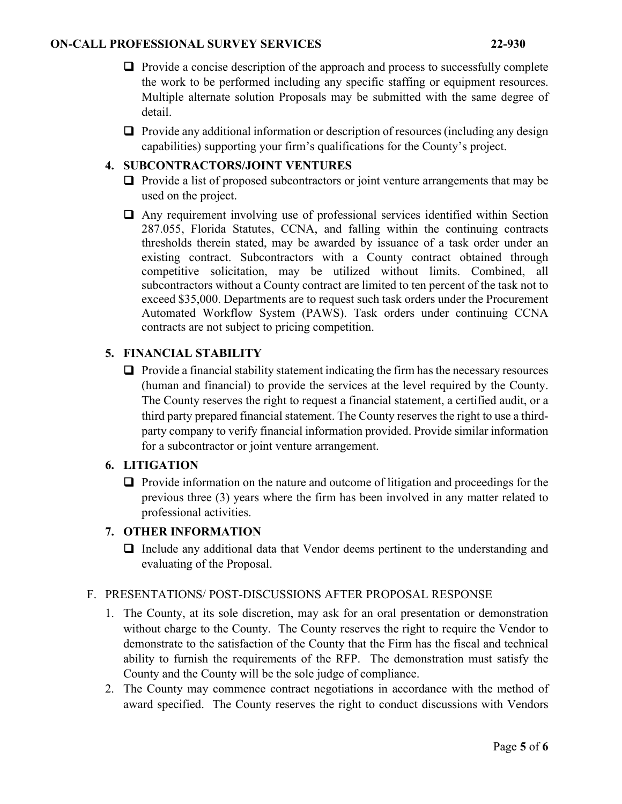- $\Box$  Provide a concise description of the approach and process to successfully complete the work to be performed including any specific staffing or equipment resources. Multiple alternate solution Proposals may be submitted with the same degree of detail.
- $\Box$  Provide any additional information or description of resources (including any design capabilities) supporting your firm's qualifications for the County's project.

### **4. SUBCONTRACTORS/JOINT VENTURES**

- $\Box$  Provide a list of proposed subcontractors or joint venture arrangements that may be used on the project.
- Any requirement involving use of professional services identified within Section 287.055, Florida Statutes, CCNA, and falling within the continuing contracts thresholds therein stated, may be awarded by issuance of a task order under an existing contract. Subcontractors with a County contract obtained through competitive solicitation, may be utilized without limits. Combined, all subcontractors without a County contract are limited to ten percent of the task not to exceed \$35,000. Departments are to request such task orders under the Procurement Automated Workflow System (PAWS). Task orders under continuing CCNA contracts are not subject to pricing competition.

# **5. FINANCIAL STABILITY**

 $\Box$  Provide a financial stability statement indicating the firm has the necessary resources (human and financial) to provide the services at the level required by the County. The County reserves the right to request a financial statement, a certified audit, or a third party prepared financial statement. The County reserves the right to use a thirdparty company to verify financial information provided. Provide similar information for a subcontractor or joint venture arrangement.

#### **6. LITIGATION**

 $\Box$  Provide information on the nature and outcome of litigation and proceedings for the previous three (3) years where the firm has been involved in any matter related to professional activities.

### **7. OTHER INFORMATION**

 $\Box$  Include any additional data that Vendor deems pertinent to the understanding and evaluating of the Proposal.

#### F. PRESENTATIONS/ POST-DISCUSSIONS AFTER PROPOSAL RESPONSE

- 1. The County, at its sole discretion, may ask for an oral presentation or demonstration without charge to the County. The County reserves the right to require the Vendor to demonstrate to the satisfaction of the County that the Firm has the fiscal and technical ability to furnish the requirements of the RFP. The demonstration must satisfy the County and the County will be the sole judge of compliance.
- 2. The County may commence contract negotiations in accordance with the method of award specified. The County reserves the right to conduct discussions with Vendors